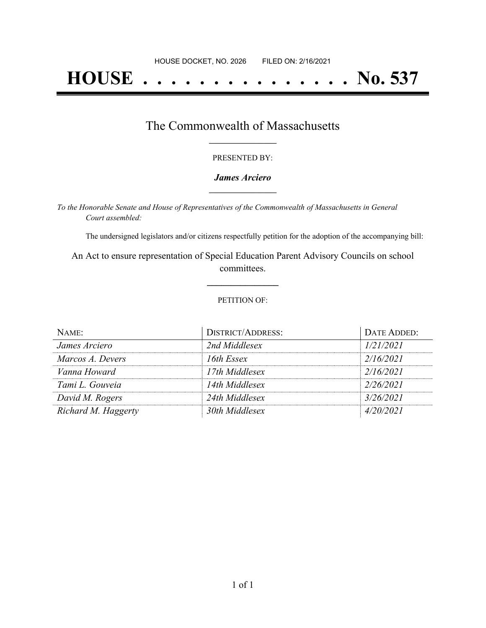# **HOUSE . . . . . . . . . . . . . . . No. 537**

### The Commonwealth of Massachusetts **\_\_\_\_\_\_\_\_\_\_\_\_\_\_\_\_\_**

#### PRESENTED BY:

#### *James Arciero* **\_\_\_\_\_\_\_\_\_\_\_\_\_\_\_\_\_**

*To the Honorable Senate and House of Representatives of the Commonwealth of Massachusetts in General Court assembled:*

The undersigned legislators and/or citizens respectfully petition for the adoption of the accompanying bill:

An Act to ensure representation of Special Education Parent Advisory Councils on school committees.

**\_\_\_\_\_\_\_\_\_\_\_\_\_\_\_**

#### PETITION OF:

| NAME:               | <b>DISTRICT/ADDRESS:</b> | DATE ADDED: |
|---------------------|--------------------------|-------------|
| James Arciero       | 2nd Middlesex            | 1/21/2021   |
| Marcos A. Devers    | 16th Essex               | 2/16/2021   |
| Vanna Howard        | 17th Middlesex           | 2/16/2021   |
| Tami L. Gouveia     | 14th Middlesex           | 2/26/2021   |
| David M. Rogers     | 24th Middlesex           | 3/26/2021   |
| Richard M. Haggerty | 30th Middlesex           | 4/20/2021   |